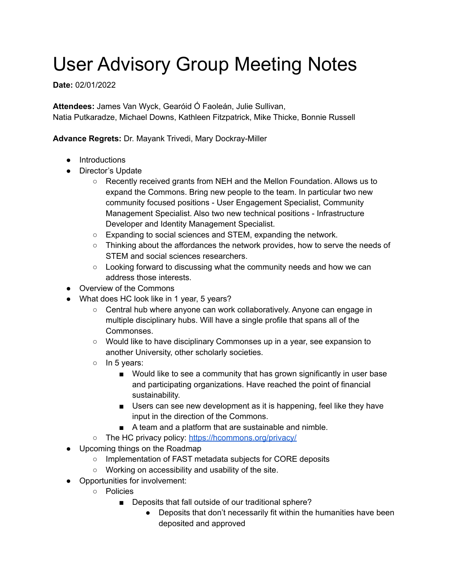## User Advisory Group Meeting Notes

## **Date:** 02/01/2022

**Attendees:** James Van Wyck, Gearóid Ó Faoleán, Julie Sullivan, Natia Putkaradze, Michael Downs, Kathleen Fitzpatrick, Mike Thicke, Bonnie Russell

## **Advance Regrets:** Dr. Mayank Trivedi, Mary Dockray-Miller

- Introductions
- Director's Update
	- Recently received grants from NEH and the Mellon Foundation. Allows us to expand the Commons. Bring new people to the team. In particular two new community focused positions - User Engagement Specialist, Community Management Specialist. Also two new technical positions - Infrastructure Developer and Identity Management Specialist.
	- Expanding to social sciences and STEM, expanding the network.
	- Thinking about the affordances the network provides, how to serve the needs of STEM and social sciences researchers.
	- Looking forward to discussing what the community needs and how we can address those interests.
- Overview of the Commons
- What does HC look like in 1 year, 5 years?
	- Central hub where anyone can work collaboratively. Anyone can engage in multiple disciplinary hubs. Will have a single profile that spans all of the Commonses.
	- Would like to have disciplinary Commonses up in a year, see expansion to another University, other scholarly societies.
	- In 5 years:
		- Would like to see a community that has grown significantly in user base and participating organizations. Have reached the point of financial sustainability.
		- Users can see new development as it is happening, feel like they have input in the direction of the Commons.
		- A team and a platform that are sustainable and nimble.
	- o The HC privacy policy: <https://hcommons.org/privacy/>
- Upcoming things on the Roadmap
	- Implementation of FAST metadata subjects for CORE deposits
	- Working on accessibility and usability of the site.
- Opportunities for involvement:
	- Policies
		- Deposits that fall outside of our traditional sphere?
			- Deposits that don't necessarily fit within the humanities have been deposited and approved